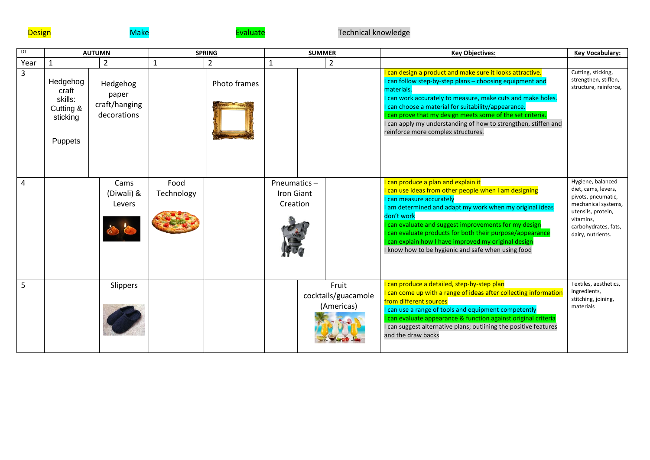

## **Design Evaluate Evaluate** Technical knowledge **Design**

| DT   | <b>AUTUMN</b>                                                    |                                                   | <b>SPRING</b>      |              | <b>SUMMER</b>                         |                                            |   | <b>Key Objectives:</b>                                                                                                                                                                                                                                                                                                                                                                                                           | Key Vocabulary:                                                                                                                                                       |
|------|------------------------------------------------------------------|---------------------------------------------------|--------------------|--------------|---------------------------------------|--------------------------------------------|---|----------------------------------------------------------------------------------------------------------------------------------------------------------------------------------------------------------------------------------------------------------------------------------------------------------------------------------------------------------------------------------------------------------------------------------|-----------------------------------------------------------------------------------------------------------------------------------------------------------------------|
| Year | $\mathbf{1}$                                                     | 2                                                 |                    | 2            |                                       |                                            | 2 |                                                                                                                                                                                                                                                                                                                                                                                                                                  |                                                                                                                                                                       |
| 3    | Hedgehog<br>craft<br>skills:<br>Cutting &<br>sticking<br>Puppets | Hedgehog<br>paper<br>craft/hanging<br>decorations |                    | Photo frames |                                       |                                            |   | I can design a product and make sure it looks attractive.<br>I can follow step-by-step plans - choosing equipment and<br>materials.<br>I can work accurately to measure, make cuts and make holes.<br>I can choose a material for suitability/appearance.<br>I can prove that my design meets some of the set criteria.<br>I can apply my understanding of how to strengthen, stiffen and<br>reinforce more complex structures.  | Cutting, sticking,<br>strengthen, stiffen,<br>structure, reinforce,                                                                                                   |
| 4    |                                                                  | Cams<br>(Diwali) &<br>Levers                      | Food<br>Technology |              | Pneumatics-<br>Iron Giant<br>Creation |                                            |   | I can produce a plan and explain it<br>I can use ideas from other people when I am designing<br>I can measure accurately<br>I am determined and adapt my work when my original ideas<br>don't work<br>can evaluate and suggest improvements for my design<br>can evaluate products for both their purpose/appearance<br>can explain how I have improved my original design<br>I know how to be hygienic and safe when using food | Hygiene, balanced<br>diet, cams, levers,<br>pivots, pneumatic,<br>mechanical systems,<br>utensils, protein,<br>vitamins,<br>carbohydrates, fats,<br>dairy, nutrients. |
| 5    |                                                                  | Slippers                                          |                    |              |                                       | Fruit<br>cocktails/guacamole<br>(Americas) |   | I can produce a detailed, step-by-step plan<br>I can come up with a range of ideas after collecting information<br>from different sources<br>I can use a range of tools and equipment competently<br>can evaluate appearance & function against original criteria<br>I can suggest alternative plans; outlining the positive features<br>and the draw backs                                                                      | Textiles, aesthetics,<br>ingredients,<br>stitching, joining,<br>materials                                                                                             |